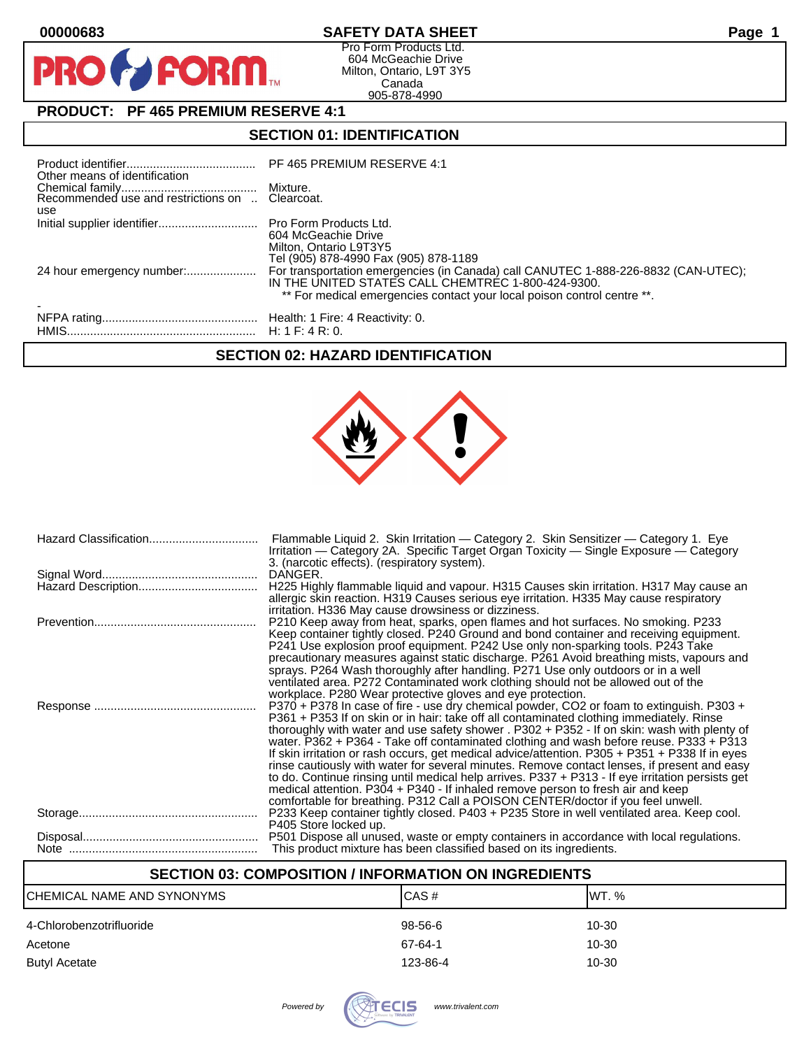$\mathbf O$ 

PR

# **00000683 SAFETY DATA SHEET Page 1**

Pro Form Products Ltd. 604 McGeachie Drive Milton, Ontario, L9T 3Y5 Canada 905-878-4990

# **PRODUCT: PF 465 PREMIUM RESERVE 4:1**

**FORM** 

### **SECTION 01: IDENTIFICATION**

| Other means of identification |                                                                                                                                                                                                                     |
|-------------------------------|---------------------------------------------------------------------------------------------------------------------------------------------------------------------------------------------------------------------|
| use                           |                                                                                                                                                                                                                     |
|                               | 604 McGeachie Drive<br>Milton, Ontario L9T3Y5<br>Tel (905) 878-4990 Fax (905) 878-1189                                                                                                                              |
|                               | For transportation emergencies (in Canada) call CANUTEC 1-888-226-8832 (CAN-UTEC);<br>IN THE UNITED STATES CALL CHEMTREC 1-800-424-9300.<br>** For medical emergencies contact your local poison control centre **. |
|                               |                                                                                                                                                                                                                     |

### **SECTION 02: HAZARD IDENTIFICATION**



| Flammable Liquid 2. Skin Irritation — Category 2. Skin Sensitizer — Category 1. Eye<br>Irritation — Category 2A. Specific Target Organ Toxicity — Single Exposure — Category<br>3. (narcotic effects). (respiratory system).             |
|------------------------------------------------------------------------------------------------------------------------------------------------------------------------------------------------------------------------------------------|
| DANGER.                                                                                                                                                                                                                                  |
| H225 Highly flammable liquid and vapour. H315 Causes skin irritation. H317 May cause an<br>allergic skin reaction. H319 Causes serious eye irritation. H335 May cause respiratory<br>irritation. H336 May cause drowsiness or dizziness. |
| P210 Keep away from heat, sparks, open flames and hot surfaces. No smoking. P233                                                                                                                                                         |
| Keep container tightly closed. P240 Ground and bond container and receiving equipment.                                                                                                                                                   |
| P241 Use explosion proof equipment. P242 Use only non-sparking tools. P243 Take                                                                                                                                                          |
| precautionary measures against static discharge. P261 Avoid breathing mists, vapours and                                                                                                                                                 |
| sprays. P264 Wash thoroughly after handling. P271 Use only outdoors or in a well                                                                                                                                                         |
| ventilated area. P272 Contaminated work clothing should not be allowed out of the<br>workplace. P280 Wear protective gloves and eye protection.                                                                                          |
| P370 + P378 In case of fire - use dry chemical powder, CO2 or foam to extinguish. P303 +                                                                                                                                                 |
| P361 + P353 If on skin or in hair: take off all contaminated clothing immediately. Rinse                                                                                                                                                 |
| thoroughly with water and use safety shower . P302 + P352 - If on skin: wash with plenty of                                                                                                                                              |
| water. P362 + P364 - Take off contaminated clothing and wash before reuse. P333 + P313                                                                                                                                                   |
| If skin irritation or rash occurs, get medical advice/attention. P305 + P351 + P338 If in eyes                                                                                                                                           |
| rinse cautiously with water for several minutes. Remove contact lenses, if present and easy                                                                                                                                              |
| to do. Continue rinsing until medical help arrives. P337 + P313 - If eye irritation persists get                                                                                                                                         |
| medical attention. P304 + P340 - If inhaled remove person to fresh air and keep                                                                                                                                                          |
| comfortable for breathing. P312 Call a POISON CENTER/doctor if you feel unwell.<br>P233 Keep container tightly closed. P403 + P235 Store in well ventilated area. Keep cool.                                                             |
| P405 Store locked up.                                                                                                                                                                                                                    |
| P501 Dispose all unused, waste or empty containers in accordance with local regulations.                                                                                                                                                 |
| This product mixture has been classified based on its ingredients.                                                                                                                                                                       |
|                                                                                                                                                                                                                                          |

# **SECTION 03: COMPOSITION / INFORMATION ON INGREDIENTS**

| ICHEMICAL NAME AND SYNONYMS | CAS#     | IWT. % |
|-----------------------------|----------|--------|
| 4-Chlorobenzotrifluoride    | 98-56-6  | 10-30  |
| Acetone                     | 67-64-1  | 10-30  |
| Butyl Acetate               | 123-86-4 | 10-30  |

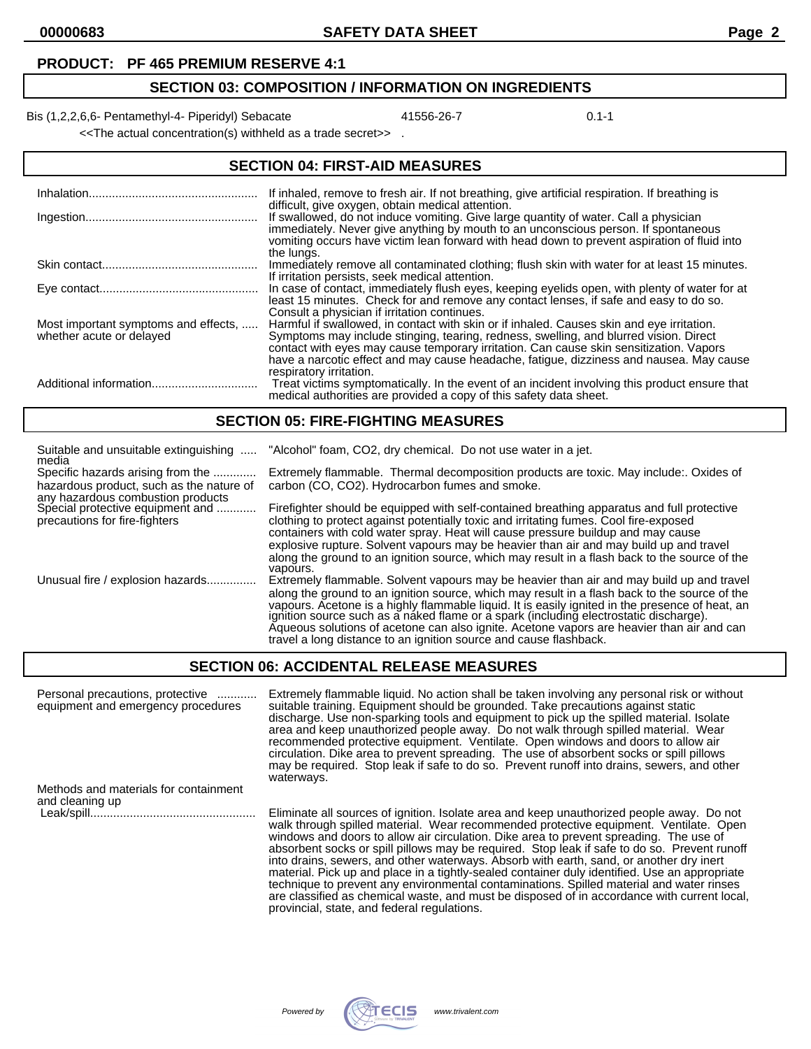#### **PRODUCT: PF 465 PREMIUM RESERVE 4:1**

# **SECTION 03: COMPOSITION / INFORMATION ON INGREDIENTS**

Bis (1,2,2,6,6- Pentamethyl-4- Piperidyl) Sebacate 41556-26-7 41556-26-7 0.1-1

<<The actual concentration(s) withheld as a trade secret>> .

### **SECTION 04: FIRST-AID MEASURES**

| Inhalation                                                       | If inhaled, remove to fresh air. If not breathing, give artificial respiration. If breathing is<br>difficult, give oxygen, obtain medical attention.                                                                                                                                                                                                                                               |
|------------------------------------------------------------------|----------------------------------------------------------------------------------------------------------------------------------------------------------------------------------------------------------------------------------------------------------------------------------------------------------------------------------------------------------------------------------------------------|
|                                                                  | If swallowed, do not induce vomiting. Give large quantity of water. Call a physician<br>immediately. Never give anything by mouth to an unconscious person. If spontaneous<br>vomiting occurs have victim lean forward with head down to prevent aspiration of fluid into<br>the lungs.                                                                                                            |
|                                                                  | Immediately remove all contaminated clothing; flush skin with water for at least 15 minutes.<br>If irritation persists, seek medical attention.                                                                                                                                                                                                                                                    |
|                                                                  | In case of contact, immediately flush eyes, keeping eyelids open, with plenty of water for at<br>least 15 minutes. Check for and remove any contact lenses, if safe and easy to do so.<br>Consult a physician if irritation continues.                                                                                                                                                             |
| Most important symptoms and effects,<br>whether acute or delayed | Harmful if swallowed, in contact with skin or if inhaled. Causes skin and eye irritation.<br>Symptoms may include stinging, tearing, redness, swelling, and blurred vision. Direct<br>contact with eyes may cause temporary irritation. Can cause skin sensitization. Vapors<br>have a narcotic effect and may cause headache, fatigue, dizziness and nausea. May cause<br>respiratory irritation. |
|                                                                  | Treat victims symptomatically. In the event of an incident involving this product ensure that<br>medical authorities are provided a copy of this safety data sheet.                                                                                                                                                                                                                                |

#### **SECTION 05: FIRE-FIGHTING MEASURES**

| Suitable and unsuitable extinguishing<br>media                                                         | "Alcohol" foam, CO2, dry chemical. Do not use water in a jet.                                                                                                                                                                                                                                                                                                                                                                                                                                                                                           |
|--------------------------------------------------------------------------------------------------------|---------------------------------------------------------------------------------------------------------------------------------------------------------------------------------------------------------------------------------------------------------------------------------------------------------------------------------------------------------------------------------------------------------------------------------------------------------------------------------------------------------------------------------------------------------|
| Specific hazards arising from the<br>hazardous product, such as the nature of                          | Extremely flammable. Thermal decomposition products are toxic. May include: Oxides of<br>carbon (CO, CO2). Hydrocarbon fumes and smoke.                                                                                                                                                                                                                                                                                                                                                                                                                 |
| any hazardous combustion products<br>Special protective equipment and<br>precautions for fire-fighters | Firefighter should be equipped with self-contained breathing apparatus and full protective<br>clothing to protect against potentially toxic and irritating fumes. Cool fire-exposed<br>containers with cold water spray. Heat will cause pressure buildup and may cause<br>explosive rupture. Solvent vapours may be heavier than air and may build up and travel                                                                                                                                                                                       |
|                                                                                                        | along the ground to an ignition source, which may result in a flash back to the source of the<br>vapours.                                                                                                                                                                                                                                                                                                                                                                                                                                               |
| Unusual fire / explosion hazards                                                                       | Extremely flammable. Solvent vapours may be heavier than air and may build up and travel<br>along the ground to an ignition source, which may result in a flash back to the source of the<br>vapours. Acetone is a highly flammable liquid. It is easily ignited in the presence of heat, an<br>ignition source such as a naked flame or a spark (including electrostatic discharge).<br>Aqueous solutions of acetone can also ignite. Acetone vapors are heavier than air and can<br>travel a long distance to an ignition source and cause flashback. |

### **SECTION 06: ACCIDENTAL RELEASE MEASURES**

| Personal precautions, protective<br>equipment and emergency procedures | Extremely flammable liquid. No action shall be taken involving any personal risk or without<br>suitable training. Equipment should be grounded. Take precautions against static<br>discharge. Use non-sparking tools and equipment to pick up the spilled material. Isolate<br>area and keep unauthorized people away. Do not walk through spilled material. Wear<br>recommended protective equipment. Ventilate. Open windows and doors to allow air<br>circulation. Dike area to prevent spreading. The use of absorbent socks or spill pillows<br>may be required. Stop leak if safe to do so. Prevent runoff into drains, sewers, and other<br>waterways.                                                                                                       |
|------------------------------------------------------------------------|---------------------------------------------------------------------------------------------------------------------------------------------------------------------------------------------------------------------------------------------------------------------------------------------------------------------------------------------------------------------------------------------------------------------------------------------------------------------------------------------------------------------------------------------------------------------------------------------------------------------------------------------------------------------------------------------------------------------------------------------------------------------|
| Methods and materials for containment<br>and cleaning up               |                                                                                                                                                                                                                                                                                                                                                                                                                                                                                                                                                                                                                                                                                                                                                                     |
|                                                                        | Eliminate all sources of ignition. Isolate area and keep unauthorized people away. Do not<br>walk through spilled material. Wear recommended protective equipment. Ventilate. Open<br>windows and doors to allow air circulation. Dike area to prevent spreading. The use of<br>absorbent socks or spill pillows may be required. Stop leak if safe to do so. Prevent runoff<br>into drains, sewers, and other waterways. Absorb with earth, sand, or another dry inert<br>material. Pick up and place in a tightly-sealed container duly identified. Use an appropriate<br>technique to prevent any environmental contaminations. Spilled material and water rinses<br>are classified as chemical waste, and must be disposed of in accordance with current local, |



provincial, state, and federal regulations.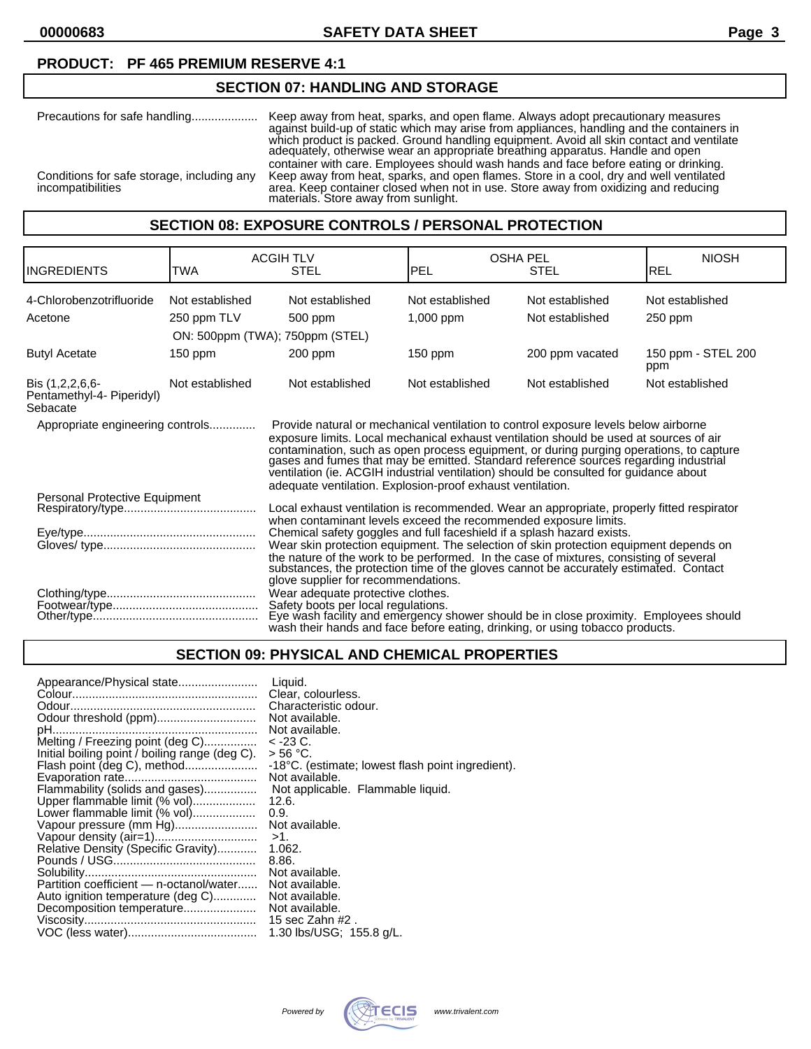### **PRODUCT: PF 465 PREMIUM RESERVE 4:1**

## **SECTION 07: HANDLING AND STORAGE**

| Precautions for safe handling                                          | Keep away from heat, sparks, and open flame. Always adopt precautionary measures<br>against build-up of static which may arise from appliances, handling and the containers in<br>which product is packed. Ground handling equipment. Avoid all skin contact and ventilate<br>adequately, otherwise wear an appropriate breathing apparatus. Handle and open |
|------------------------------------------------------------------------|--------------------------------------------------------------------------------------------------------------------------------------------------------------------------------------------------------------------------------------------------------------------------------------------------------------------------------------------------------------|
| Conditions for safe storage, including any<br><i>incompatibilities</i> | container with care. Employees should wash hands and face before eating or drinking.<br>Keep away from heat, sparks, and open flames. Store in a cool, dry and well ventilated<br>area. Keep container closed when not in use. Store away from oxidizing and reducing<br>materials. Store away from sunlight.                                                |

### **SECTION 08: EXPOSURE CONTROLS / PERSONAL PROTECTION**

|                                                                                                                                                                                                                                                                                                                                                                                                                                                                                               |                 | <b>ACGIH TLV</b>                                                                                                                                                                                                                                                                                                                                                                       |                 | <b>OSHA PEL</b> | <b>NIOSH</b>              |
|-----------------------------------------------------------------------------------------------------------------------------------------------------------------------------------------------------------------------------------------------------------------------------------------------------------------------------------------------------------------------------------------------------------------------------------------------------------------------------------------------|-----------------|----------------------------------------------------------------------------------------------------------------------------------------------------------------------------------------------------------------------------------------------------------------------------------------------------------------------------------------------------------------------------------------|-----------------|-----------------|---------------------------|
| <b>INGREDIENTS</b>                                                                                                                                                                                                                                                                                                                                                                                                                                                                            | TWA             | <b>STEL</b>                                                                                                                                                                                                                                                                                                                                                                            | PEL             | <b>STEL</b>     | REL                       |
| 4-Chlorobenzotrifluoride                                                                                                                                                                                                                                                                                                                                                                                                                                                                      | Not established | Not established                                                                                                                                                                                                                                                                                                                                                                        | Not established | Not established | Not established           |
| Acetone                                                                                                                                                                                                                                                                                                                                                                                                                                                                                       | 250 ppm TLV     | 500 ppm                                                                                                                                                                                                                                                                                                                                                                                | 1,000 ppm       | Not established | 250 ppm                   |
|                                                                                                                                                                                                                                                                                                                                                                                                                                                                                               |                 | ON: 500ppm (TWA); 750ppm (STEL)                                                                                                                                                                                                                                                                                                                                                        |                 |                 |                           |
| <b>Butyl Acetate</b>                                                                                                                                                                                                                                                                                                                                                                                                                                                                          | 150 ppm         | $200$ ppm                                                                                                                                                                                                                                                                                                                                                                              | $150$ ppm       | 200 ppm vacated | 150 ppm - STEL 200<br>ppm |
| Bis (1,2,2,6,6-<br>Pentamethyl-4- Piperidyl)<br>Sebacate                                                                                                                                                                                                                                                                                                                                                                                                                                      | Not established | Not established                                                                                                                                                                                                                                                                                                                                                                        | Not established | Not established | Not established           |
| Appropriate engineering controls<br>Provide natural or mechanical ventilation to control exposure levels below airborne<br>exposure limits. Local mechanical exhaust ventilation should be used at sources of air<br>contamination, such as open process equipment, or during purging operations, to capture<br>gases and fumes that may be emitted. Standard reference sources regarding industrial<br>ventilation (ie. ACGIH industrial ventilation) should be consulted for guidance about |                 | adequate ventilation. Explosion-proof exhaust ventilation.                                                                                                                                                                                                                                                                                                                             |                 |                 |                           |
| Personal Protective Equipment<br>Local exhaust ventilation is recommended. Wear an appropriate, properly fitted respirator<br>when contaminant levels exceed the recommended exposure limits.                                                                                                                                                                                                                                                                                                 |                 |                                                                                                                                                                                                                                                                                                                                                                                        |                 |                 |                           |
|                                                                                                                                                                                                                                                                                                                                                                                                                                                                                               |                 | Chemical safety goggles and full faceshield if a splash hazard exists.<br>Wear skin protection equipment. The selection of skin protection equipment depends on<br>the nature of the work to be performed. In the case of mixtures, consisting of several substances, the protection time of the gloves cannot be accurately estimated. Contact<br>glove supplier for recommendations. |                 |                 |                           |
|                                                                                                                                                                                                                                                                                                                                                                                                                                                                                               |                 | Wear adequate protective clothes.<br>Safety boots per local regulations.<br>Eye wash facility and emergency shower should be in close proximity. Employees should<br>wash their hands and face before eating, drinking, or using tobacco products.                                                                                                                                     |                 |                 |                           |

### **SECTION 09: PHYSICAL AND CHEMICAL PROPERTIES**

| Appearance/Physical state                      | Liquid.                                           |
|------------------------------------------------|---------------------------------------------------|
|                                                | Clear, colourless.                                |
|                                                | Characteristic odour.                             |
| Odour threshold (ppm)                          | Not available.                                    |
|                                                | Not available.                                    |
| Melting / Freezing point (deg C)               | $<$ -23 C.                                        |
| Initial boiling point / boiling range (deg C). | > 56 °C.                                          |
| Flash point (deg C), method                    | -18°C. (estimate; lowest flash point ingredient). |
|                                                | Not available.                                    |
| Flammability (solids and gases)                | Not applicable. Flammable liquid.                 |
| Upper flammable limit (% vol)                  | 12.6.                                             |
| Lower flammable limit (% vol)                  | 0.9.                                              |
| Vapour pressure (mm Hg)                        | Not available.                                    |
|                                                | $>1$ .                                            |
| Relative Density (Specific Gravity)            | 1.062.                                            |
|                                                | 8.86.                                             |
|                                                | Not available.                                    |
| Partition coefficient - n-octanol/water        | Not available.                                    |
| Auto ignition temperature (deg C)              | Not available.                                    |
|                                                | Not available.                                    |
|                                                | 15 sec Zahn #2.                                   |
|                                                | 1.30 lbs/USG; 155.8 g/L.                          |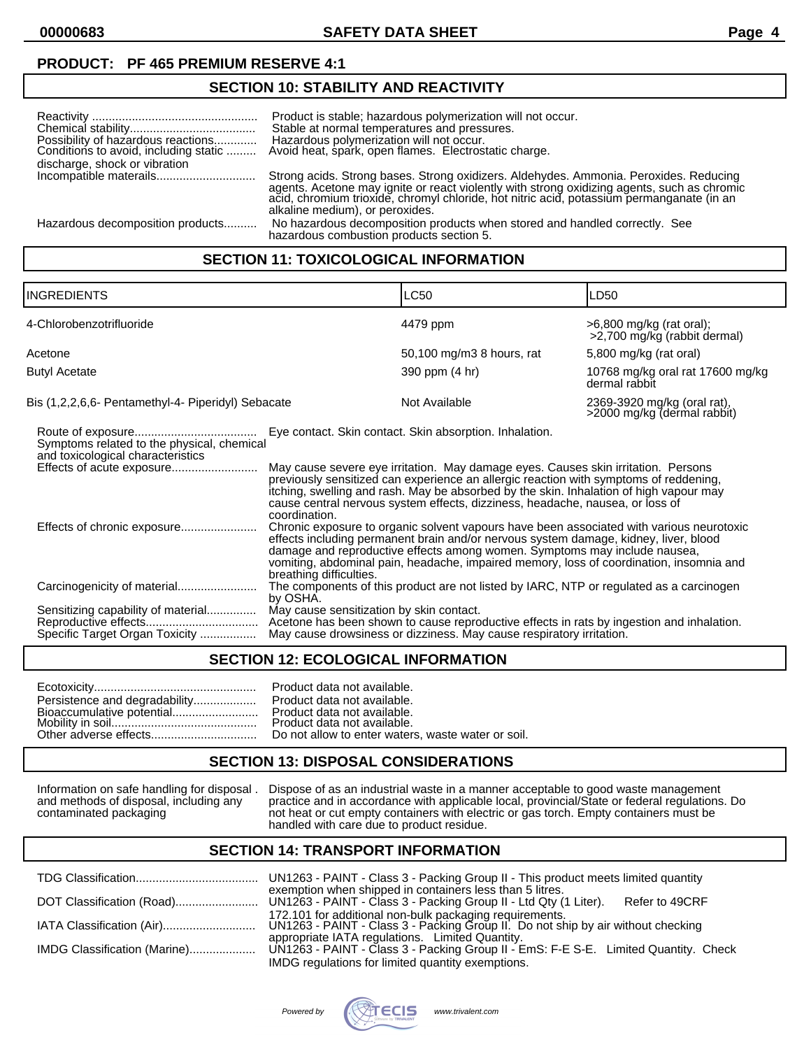**00000683 SAFETY DATA SHEET Page 4**

### **PRODUCT: PF 465 PREMIUM RESERVE 4:1**

### **SECTION 10: STABILITY AND REACTIVITY**

| Possibility of hazardous reactions<br>Conditions to avoid, including static<br>discharge, shock or vibration | Product is stable; hazardous polymerization will not occur.<br>Stable at normal temperatures and pressures.<br>Hazardous polymerization will not occur.<br>Avoid heat, spark, open flames. Electrostatic charge.                                                                                                     |
|--------------------------------------------------------------------------------------------------------------|----------------------------------------------------------------------------------------------------------------------------------------------------------------------------------------------------------------------------------------------------------------------------------------------------------------------|
|                                                                                                              |                                                                                                                                                                                                                                                                                                                      |
|                                                                                                              | Strong acids. Strong bases. Strong oxidizers. Aldehydes. Ammonia. Peroxides. Reducing<br>agents. Acetone may ignite or react violently with strong oxidizing agents, such as chromic<br>acid, chromium trioxide, chromyl chloride, hot nitric acid, potassium permanganate (in an<br>alkaline medium), or peroxides. |
| Hazardous decomposition products                                                                             | No hazardous decomposition products when stored and handled correctly. See<br>hazardous combustion products section 5.                                                                                                                                                                                               |

## **SECTION 11: TOXICOLOGICAL INFORMATION**

| <b>INGREDIENTS</b>                                                                                           |                                          | <b>LC50</b>                                                                                                                                                                                                                                                                                                                                                                                                      | LD50                                                       |
|--------------------------------------------------------------------------------------------------------------|------------------------------------------|------------------------------------------------------------------------------------------------------------------------------------------------------------------------------------------------------------------------------------------------------------------------------------------------------------------------------------------------------------------------------------------------------------------|------------------------------------------------------------|
| 4-Chlorobenzotrifluoride                                                                                     |                                          | 4479 ppm                                                                                                                                                                                                                                                                                                                                                                                                         | >6,800 mg/kg (rat oral);<br>>2,700 mg/kg (rabbit dermal)   |
| Acetone                                                                                                      |                                          | 50,100 mg/m3 8 hours, rat                                                                                                                                                                                                                                                                                                                                                                                        | 5,800 mg/kg (rat oral)                                     |
| <b>Butyl Acetate</b>                                                                                         |                                          | 390 ppm (4 hr)                                                                                                                                                                                                                                                                                                                                                                                                   | 10768 mg/kg oral rat 17600 mg/kg<br>dermal rabbit          |
| Bis (1,2,2,6,6- Pentamethyl-4- Piperidyl) Sebacate                                                           |                                          | Not Available                                                                                                                                                                                                                                                                                                                                                                                                    | 2369-3920 mg/kg (oral rat),<br>>2000 mg/kg (dermal rabbit) |
| Symptoms related to the physical, chemical<br>and toxicological characteristics<br>Effects of acute exposure | coordination.                            | Eye contact. Skin contact. Skin absorption. Inhalation.<br>May cause severe eye irritation. May damage eyes. Causes skin irritation. Persons<br>previously sensitized can experience an allergic reaction with symptoms of reddening,<br>itching, swelling and rash. May be absorbed by the skin. Inhalation of high vapour may<br>cause central nervous system effects, dizziness, headache, nausea, or loss of |                                                            |
| Effects of chronic exposure                                                                                  | breathing difficulties.                  | Chronic exposure to organic solvent vapours have been associated with various neurotoxic<br>effects including permanent brain and/or nervous system damage, kidney, liver, blood<br>damage and reproductive effects among women. Symptoms may include nausea,<br>vomiting, abdominal pain, headache, impaired memory, loss of coordination, insomnia and                                                         |                                                            |
| Carcinogenicity of material                                                                                  | by OSHA.                                 | The components of this product are not listed by IARC, NTP or regulated as a carcinogen                                                                                                                                                                                                                                                                                                                          |                                                            |
| Sensitizing capability of material<br>Specific Target Organ Toxicity                                         | May cause sensitization by skin contact. | Acetone has been shown to cause reproductive effects in rats by ingestion and inhalation.<br>May cause drowsiness or dizziness. May cause respiratory irritation.                                                                                                                                                                                                                                                |                                                            |
|                                                                                                              |                                          |                                                                                                                                                                                                                                                                                                                                                                                                                  |                                                            |

### **SECTION 12: ECOLOGICAL INFORMATION**

|                               | Product data not available.  |
|-------------------------------|------------------------------|
| Persistence and degradability | Product data not available.  |
|                               | Product data not available.  |
|                               | Product data not available.  |
|                               | Do not allow to enter waters |

| Persistence and degradability Product data not available. |
|-----------------------------------------------------------|
| Bioaccumulative potential Product data not available.     |
|                                                           |
|                                                           |
|                                                           |

# **SECTION 13: DISPOSAL CONSIDERATIONS**

Information on safe handling for disposal . Dispose of as an industrial waste in a manner acceptable to good waste management and methods of disposal, including any practice and in accordance with applicable local, provincial/State or federal regulations. Do contaminated packaging not heat or cut empty containers with electric or gas torch. Empty containers must be handled with care due to product residue.

#### **SECTION 14: TRANSPORT INFORMATION**

|                              | UN1263 - PAINT - Class 3 - Packing Group II - This product meets limited quantity                                                           |
|------------------------------|---------------------------------------------------------------------------------------------------------------------------------------------|
|                              | exemption when shipped in containers less than 5 litres.<br>Refer to 49CRF                                                                  |
|                              | 172.101 for additional non-bulk packaging requirements.<br>UN1263 - PAINT - Class 3 - Packing Group II. Do not ship by air without checking |
|                              | appropriate IATA regulations. Limited Quantity.                                                                                             |
| IMDG Classification (Marine) | UN1263 - PAINT - Class 3 - Packing Group II - EmS: F-E S-E. Limited Quantity. Check                                                         |
|                              | IMDG regulations for limited quantity exemptions.                                                                                           |